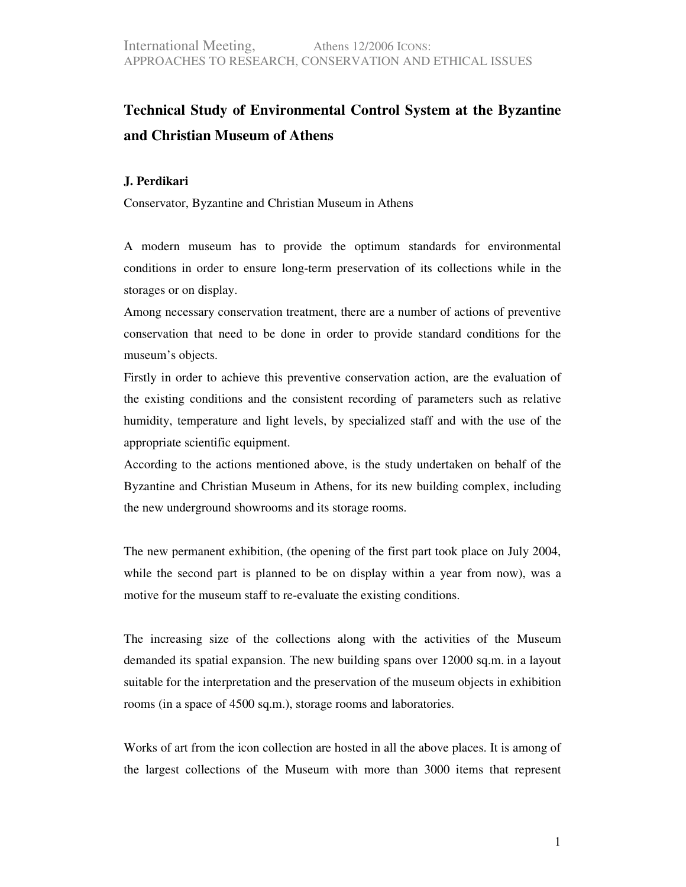## **Technical Study of Environmental Control System at the Byzantine and Christian Museum of Athens**

## **J. Perdikari**

Conservator, Byzantine and Christian Museum in Athens

A modern museum has to provide the optimum standards for environmental conditions in order to ensure long-term preservation of its collections while in the storages or on display.

Among necessary conservation treatment, there are a number of actions of preventive conservation that need to be done in order to provide standard conditions for the museum's objects.

Firstly in order to achieve this preventive conservation action, are the evaluation of the existing conditions and the consistent recording of parameters such as relative humidity, temperature and light levels, by specialized staff and with the use of the appropriate scientific equipment.

According to the actions mentioned above, is the study undertaken on behalf of the Byzantine and Christian Museum in Athens, for its new building complex, including the new underground showrooms and its storage rooms.

The new permanent exhibition, (the opening of the first part took place on July 2004, while the second part is planned to be on display within a year from now), was a motive for the museum staff to re-evaluate the existing conditions.

The increasing size of the collections along with the activities of the Museum demanded its spatial expansion. The new building spans over 12000 sq.m. in a layout suitable for the interpretation and the preservation of the museum objects in exhibition rooms (in a space of 4500 sq.m.), storage rooms and laboratories.

Works of art from the icon collection are hosted in all the above places. It is among of the largest collections of the Museum with more than 3000 items that represent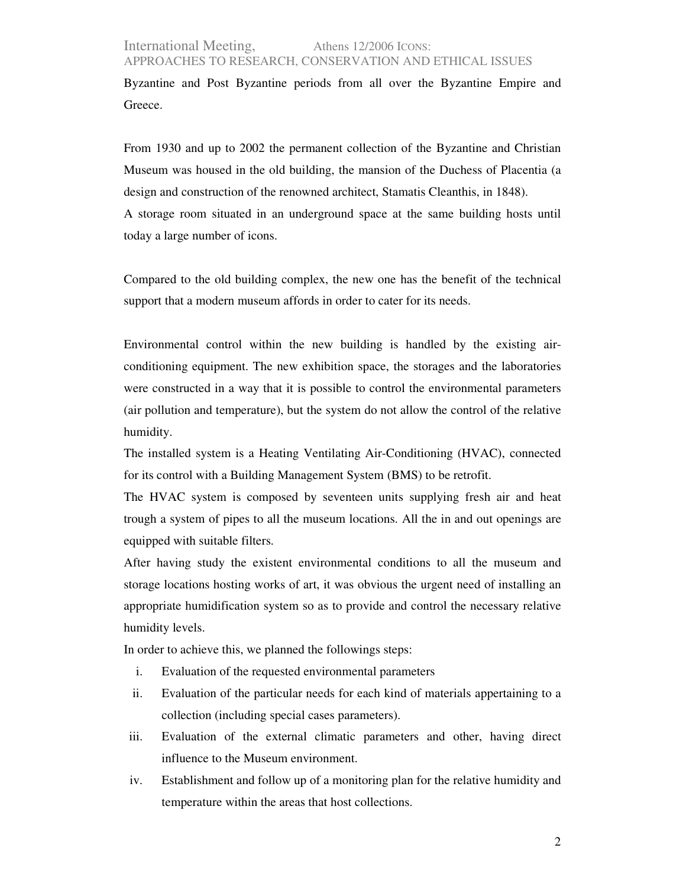## International Meeting, Athens 12/2006 ICONS: APPROACHES TO RESEARCH, CONSERVATION AND ETHICAL ISSUES

Byzantine and Post Byzantine periods from all over the Byzantine Empire and Greece.

From 1930 and up to 2002 the permanent collection of the Byzantine and Christian Museum was housed in the old building, the mansion of the Duchess of Placentia (a design and construction of the renowned architect, Stamatis Cleanthis, in 1848). A storage room situated in an underground space at the same building hosts until today a large number of icons.

Compared to the old building complex, the new one has the benefit of the technical support that a modern museum affords in order to cater for its needs.

Environmental control within the new building is handled by the existing airconditioning equipment. The new exhibition space, the storages and the laboratories were constructed in a way that it is possible to control the environmental parameters (air pollution and temperature), but the system do not allow the control of the relative humidity.

The installed system is a Heating Ventilating Air-Conditioning (HVAC), connected for its control with a Building Management System (BMS) to be retrofit.

The HVAC system is composed by seventeen units supplying fresh air and heat trough a system of pipes to all the museum locations. All the in and out openings are equipped with suitable filters.

After having study the existent environmental conditions to all the museum and storage locations hosting works of art, it was obvious the urgent need of installing an appropriate humidification system so as to provide and control the necessary relative humidity levels.

In order to achieve this, we planned the followings steps:

- i. Evaluation of the requested environmental parameters
- ii. Evaluation of the particular needs for each kind of materials appertaining to a collection (including special cases parameters).
- iii. Evaluation of the external climatic parameters and other, having direct influence to the Museum environment.
- iv. Establishment and follow up of a monitoring plan for the relative humidity and temperature within the areas that host collections.